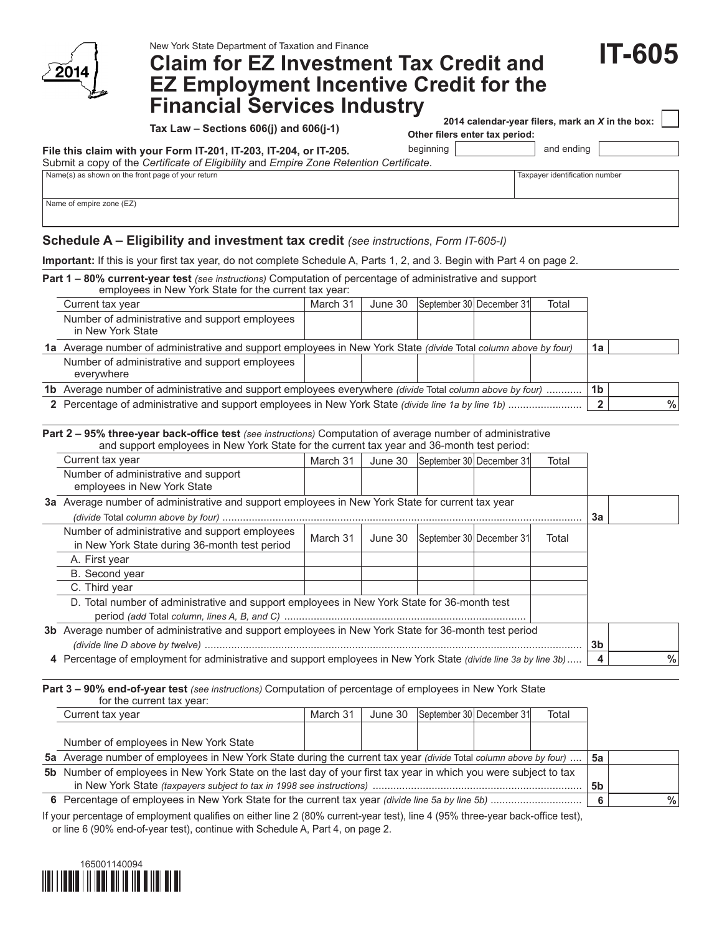

| Tax Law – Sections 606(j) and 606(j-1) |  |  |  |  |  |  |  |
|----------------------------------------|--|--|--|--|--|--|--|
|----------------------------------------|--|--|--|--|--|--|--|

|  |  | 2014 calendar-year filers, mark an X in the box: |
|--|--|--------------------------------------------------|
|--|--|--------------------------------------------------|

**Other filers enter tax period:**

**File this claim with your Form IT-201, IT-203, IT-204, or IT-205.** beginning **and ending** and ending Submit a copy of the *Certificate of Eligibility* and *Empire Zone Retention Certificate*.

Name(s) as shown on the front page of your return Taxpayer identification number

Name of empire zone (EZ)

#### **Schedule A – Eligibility and investment tax credit** *(see instructions*, *Form IT-605-I)*

**Important:** If this is your first tax year, do not complete Schedule A, Parts 1, 2, and 3. Begin with Part 4 on page 2.

| <b>Part 1 – 80% current-year test</b> (see instructions) Computation of percentage of administrative and support<br>employees in New York State for the current tax year:                                                                      |          |         |                          |  |       |                |               |  |
|------------------------------------------------------------------------------------------------------------------------------------------------------------------------------------------------------------------------------------------------|----------|---------|--------------------------|--|-------|----------------|---------------|--|
| Current tax year                                                                                                                                                                                                                               | March 31 | June 30 | September 30 December 31 |  | Total |                |               |  |
| Number of administrative and support employees<br>in New York State                                                                                                                                                                            |          |         |                          |  |       |                |               |  |
| 1a Average number of administrative and support employees in New York State (divide Total column above by four)                                                                                                                                |          |         |                          |  |       | 1a             |               |  |
| Number of administrative and support employees<br>everywhere                                                                                                                                                                                   |          |         |                          |  |       |                |               |  |
| 1b Average number of administrative and support employees everywhere (divide Total column above by four)                                                                                                                                       |          |         |                          |  |       | 1b             |               |  |
|                                                                                                                                                                                                                                                |          |         |                          |  |       | $\overline{2}$ | $\frac{0}{0}$ |  |
| <b>Part 2 – 95% three-year back-office test</b> (see instructions) Computation of average number of administrative<br>and support employees in New York State for the current tax year and 36-month test period:<br>September 30   December 31 |          |         |                          |  |       |                |               |  |
| Current tax year                                                                                                                                                                                                                               | March 31 | June 30 |                          |  | Total |                |               |  |
| Number of administrative and support                                                                                                                                                                                                           |          |         |                          |  |       |                |               |  |

| Number of administrative and support<br>employees in New York State                                               |          |         |                          |  |       |    |      |  |
|-------------------------------------------------------------------------------------------------------------------|----------|---------|--------------------------|--|-------|----|------|--|
| 3a Average number of administrative and support employees in New York State for current tax year                  |          |         |                          |  |       |    |      |  |
|                                                                                                                   |          |         |                          |  |       | Зa |      |  |
| Number of administrative and support employees<br>in New York State during 36-month test period                   | March 31 | June 30 | September 30 December 31 |  | Total |    |      |  |
| A. First year                                                                                                     |          |         |                          |  |       |    |      |  |
| B. Second year                                                                                                    |          |         |                          |  |       |    |      |  |
| C. Third year                                                                                                     |          |         |                          |  |       |    |      |  |
| D. Total number of administrative and support employees in New York State for 36-month test                       |          |         |                          |  |       |    |      |  |
| 3b Average number of administrative and support employees in New York State for 36-month test period              |          |         |                          |  |       |    |      |  |
|                                                                                                                   |          |         |                          |  |       |    |      |  |
| 4 Percentage of employment for administrative and support employees in New York State (divide line 3a by line 3b) |          |         |                          |  |       | 4  | $\%$ |  |
|                                                                                                                   |          |         |                          |  |       |    |      |  |

**Part 3 – 90% end-of-year test** *(see instructions)* Computation of percentage of employees in New York State for the current tax year:

| Current tax year                                                                                                 | March 31 | June 30 | September 30 December 31 |  | Total |  |  |  |
|------------------------------------------------------------------------------------------------------------------|----------|---------|--------------------------|--|-------|--|--|--|
|                                                                                                                  |          |         |                          |  |       |  |  |  |
| Number of employees in New York State                                                                            |          |         |                          |  |       |  |  |  |
| 5a Average number of employees in New York State during the current tax year (divide Total column above by four) |          |         |                          |  |       |  |  |  |
| 5b Number of employees in New York State on the last day of your first tax year in which you were subject to tax |          |         |                          |  |       |  |  |  |
|                                                                                                                  |          |         |                          |  |       |  |  |  |
|                                                                                                                  |          |         |                          |  |       |  |  |  |
|                                                                                                                  |          |         |                          |  |       |  |  |  |

If your percentage of employment qualifies on either line 2 (80% current-year test), line 4 (95% three-year back-office test), or line 6 (90% end-of-year test), continue with Schedule A, Part 4, on page 2.

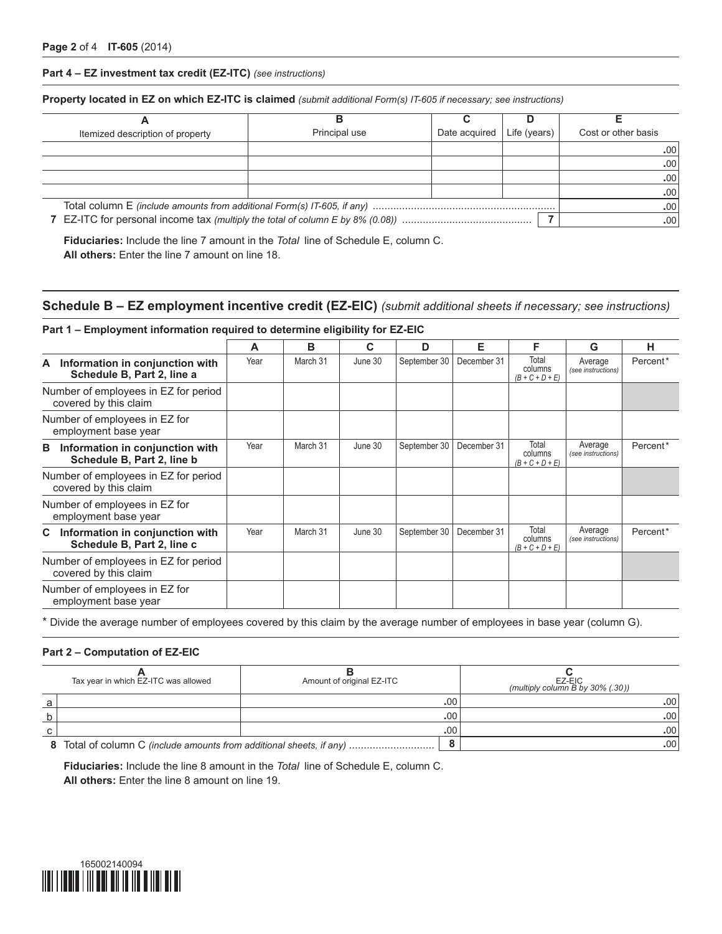**Part 4 – EZ investment tax credit (EZ-ITC)** *(see instructions)*

**Property located in EZ on which EZ-ITC is claimed** *(submit additional Form(s) IT-605 if necessary; see instructions)*

|                                  | в                                              |  |  |      |  |  |  |  |
|----------------------------------|------------------------------------------------|--|--|------|--|--|--|--|
| Itemized description of property | Life (years)<br>Principal use<br>Date acquired |  |  |      |  |  |  |  |
|                                  |                                                |  |  | .00. |  |  |  |  |
|                                  | .00.                                           |  |  |      |  |  |  |  |
|                                  |                                                |  |  | .00  |  |  |  |  |
|                                  |                                                |  |  | .00  |  |  |  |  |
|                                  | .00                                            |  |  |      |  |  |  |  |
|                                  |                                                |  |  |      |  |  |  |  |

 **Fiduciaries:** Include the line 7 amount in the *Total* line of Schedule E, column C.  **All others:** Enter the line 7 amount on line 18.

### **Schedule B – EZ employment incentive credit (EZ-EIC)** *(submit additional sheets if necessary; see instructions)*

|                                                                     | A    | в        | C       | D            | Е           | F                               | G                             | н        |
|---------------------------------------------------------------------|------|----------|---------|--------------|-------------|---------------------------------|-------------------------------|----------|
| Information in conjunction with<br>A<br>Schedule B, Part 2, line a  | Year | March 31 | June 30 | September 30 | December 31 | Total<br>columns<br>$(B+C+D+E)$ | Average<br>(see instructions) | Percent* |
| Number of employees in EZ for period<br>covered by this claim       |      |          |         |              |             |                                 |                               |          |
| Number of employees in EZ for<br>employment base year               |      |          |         |              |             |                                 |                               |          |
| Information in conjunction with<br>B<br>Schedule B, Part 2, line b  | Year | March 31 | June 30 | September 30 | December 31 | Total<br>columns<br>$(B+C+D+E)$ | Average<br>(see instructions) | Percent* |
| Number of employees in EZ for period<br>covered by this claim       |      |          |         |              |             |                                 |                               |          |
| Number of employees in EZ for<br>employment base year               |      |          |         |              |             |                                 |                               |          |
| Information in conjunction with<br>C.<br>Schedule B, Part 2, line c | Year | March 31 | June 30 | September 30 | December 31 | Total<br>columns<br>$(B+C+D+E)$ | Average<br>(see instructions) | Percent* |
| Number of employees in EZ for period<br>covered by this claim       |      |          |         |              |             |                                 |                               |          |
| Number of employees in EZ for<br>employment base year               |      |          |         |              |             |                                 |                               |          |

**Part 1 – Employment information required to determine eligibility for EZ-EIC**

\* Divide the average number of employees covered by this claim by the average number of employees in base year (column G).

### **Part 2 – Computation of EZ-EIC**

| Tax year in which EZ-ITC was allowed | Amount of original EZ-ITC                                            | EZ-EIC<br>(multiply column B by 30% (.30)) |
|--------------------------------------|----------------------------------------------------------------------|--------------------------------------------|
|                                      | .00.                                                                 | .00                                        |
|                                      | .00.                                                                 | .00                                        |
|                                      | .00.                                                                 | .00                                        |
|                                      | 8 Total of column C (include amounts from additional sheets, if any) | .00                                        |

 **Fiduciaries:** Include the line 8 amount in the *Total* line of Schedule E, column C. **All others:** Enter the line 8 amount on line 19.

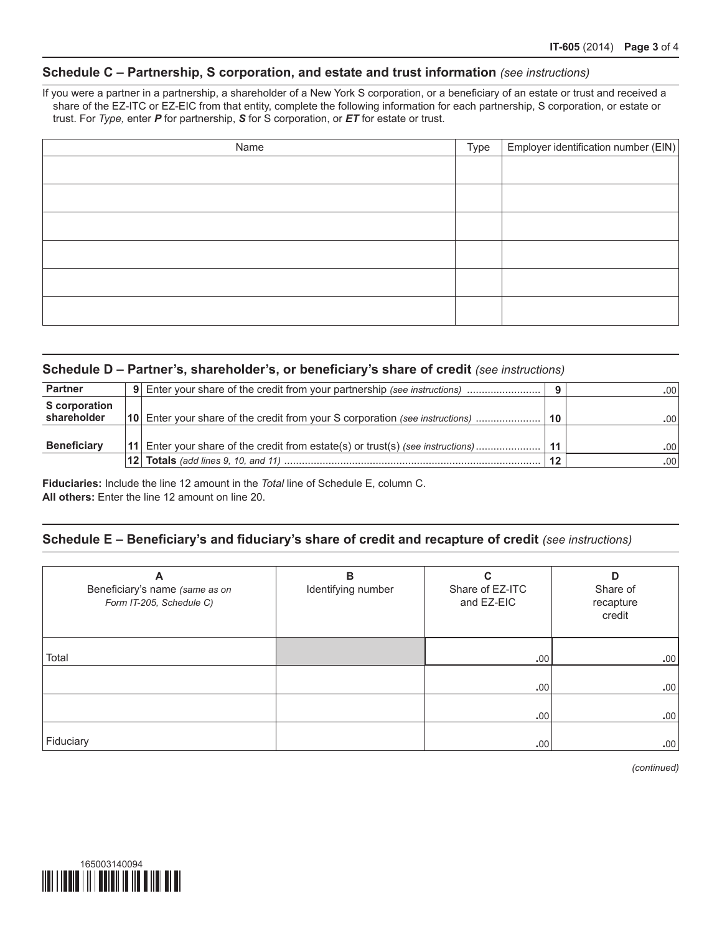#### **Schedule C – Partnership, S corporation, and estate and trust information** *(see instructions)*

If you were a partner in a partnership, a shareholder of a New York S corporation, or a beneficiary of an estate or trust and received a share of the EZ-ITC or EZ-EIC from that entity, complete the following information for each partnership, S corporation, or estate or trust. For *Type,* enter *P* for partnership, *S* for S corporation, or *ET* for estate or trust.

| Name | Type | Employer identification number (EIN) |
|------|------|--------------------------------------|
|      |      |                                      |
|      |      |                                      |
|      |      |                                      |
|      |      |                                      |
|      |      |                                      |
|      |      |                                      |
|      |      |                                      |

### **Schedule D – Partner's, shareholder's, or beneficiary's share of credit** *(see instructions)*

| <b>Partner</b>               |                 | 9 Enter your share of the credit from your partnership (see instructions)    |    | .00           |
|------------------------------|-----------------|------------------------------------------------------------------------------|----|---------------|
| S corporation<br>shareholder |                 | 10 Enter your share of the credit from your S corporation (see instructions) | 10 | .00           |
|                              |                 |                                                                              |    |               |
| <b>Beneficiary</b>           | 11 <sup>1</sup> | Enter your share of the credit from estate(s) or trust(s) (see instructions) | 11 | $.00^{\circ}$ |
|                              |                 |                                                                              | 12 | $.00^{\circ}$ |

**Fiduciaries:** Include the line 12 amount in the *Total* line of Schedule E, column C. **All others:** Enter the line 12 amount on line 20.

# **Schedule E – Beneficiary's and fiduciary's share of credit and recapture of credit** *(see instructions)*

| A<br>Beneficiary's name (same as on<br>Form IT-205, Schedule C) | в<br>Identifying number | r<br>Share of EZ-ITC<br>and EZ-EIC | D<br>Share of<br>recapture<br>credit |
|-----------------------------------------------------------------|-------------------------|------------------------------------|--------------------------------------|
| Total                                                           |                         | .00                                | .00                                  |
|                                                                 |                         | .00                                | .00                                  |
|                                                                 |                         | .00                                | .00                                  |
| Fiduciary                                                       |                         | .00                                | .00.                                 |

*(continued)*